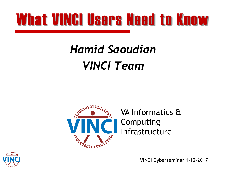## What VINCI Users Need to Know

## **VINCI Team Hamid Saoudian**



VA Informatics & Computing Infrastructure



VINCI Cyberseminar 1-12-2017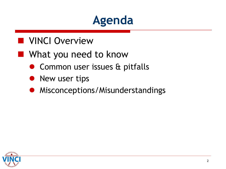

#### **NUINCI Overview**

#### **Now What you need to know**

- **•** Common user issues & pitfalls<br>• New user tips
- New user tips
- **•** Misconceptions/Misunderstandings

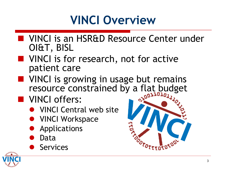#### **VINCI Overview**

- **NORGITAL VINCI is an HSR&D Resource Center under** OI&T, BISL
- **NORT VINCI is for research, not for active** patient care
- **NORTA** VINCI is growing in usage but remains resource constrained by a flat budget
- **NO** VINCI offers:
	- VINCI Central web site
	- **VINCI Workspace**
	- **•** Applications
	- $\bullet$ Data
	- $\bullet$ **Services**



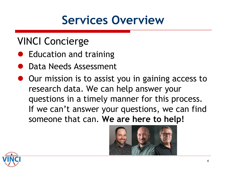#### **Services Overview**

#### VINCI Concierge

- Education and training
- **Data Needs Assessment**
- $\bullet$  Our mission is to assist you in gaining access to research data. We can help answer your questions in a timely manner for this process. If we can't answer your questions, we can find someone that can. **We are here to help!**



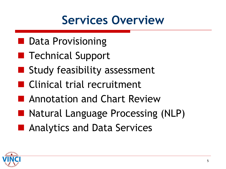#### **Services Overview**

- **Data Provisioning**
- **Technical Support**
- **Study feasibility assessment**
- **Clinical trial recruitment**
- **Annotation and Chart Review**
- Natural Language Processing (NLP)<br>■ Analytics and Data Services
- Analytics and Data Services

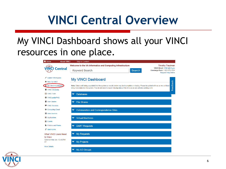#### **VINCI Central Overview**

#### resources in one place. My VINCI Dashboard shows all your VINCI



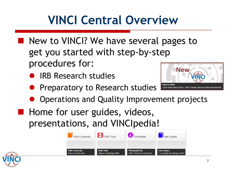### **VINCI Central Overview**

- **New to VINCI? We have several pages to** get you started with step-by-step procedures for:
	- IRB Research studies
- **New**
- **Preparatory to Research studies**  $\bullet$
- **•** Preparatory to Research studies **Demanded Apple Integrations and the virtual**<br>• Operations and Quality Improvement projects
- **Home for user guides, videos,** presentations, and VINCIpedia!



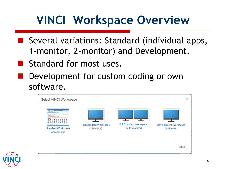#### **VINCI Workspace Overview**

- Several variations: Standard (individual apps, 1-monitor, 2-monitor) and Development.
- Standard for most uses.
- Development for custom coding or own software.

| Select VINCI Workspace                                                                                                                                                                                                                                                                                                                                                                                                                                                   |                                               |                                                   | ×                                           |
|--------------------------------------------------------------------------------------------------------------------------------------------------------------------------------------------------------------------------------------------------------------------------------------------------------------------------------------------------------------------------------------------------------------------------------------------------------------------------|-----------------------------------------------|---------------------------------------------------|---------------------------------------------|
| <b>This is a true of the land throughout</b><br><b>UKC</b><br><b>STATISTICS</b><br><b>Servitores</b> No<br><b>BARBARASA</b><br><b>MAGAZINE STATISTICS</b><br>The construction of the construction of the construction of the construction of the construction of the construction of the construction of the construction of the construction of the construction of<br>불추<br>医毒品品品品品品<br>W.<br>23232<br>息息<br>22223<br><b>Standard Workspace</b><br><b>Applications</b> | <b>Full Standard Workspace</b><br>(1 Monitor) | <b>Full Standard Workspace</b><br>(multi-monitor) | <b>Development Workspace</b><br>(1 Monitor) |
|                                                                                                                                                                                                                                                                                                                                                                                                                                                                          |                                               |                                                   | Close                                       |

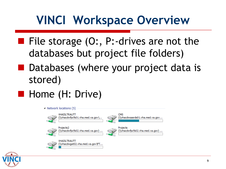#### **VINCI Workspace Overview**

- File storage  $(0:$ , P:-drives are not the databases but project file folders)<br>Databases (where your project data is
- stored)
- Home (H: Drive)



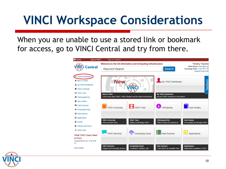for access, go to VINCI Central and try from there. When you are unable to use a stored link or bookmark



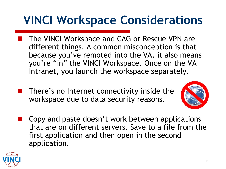- The VINCI Workspace and CAG or Rescue VPN are different things. A common misconception is that because you've remoted into the VA, it also means you're "in" the VINCI Workspace. Once on the VA Intranet, you launch the workspace separately.
- workspace due to data security reasons. There's no Internet connectivity inside the



 first application and then open in the second Copy and paste doesn't work between applications that are on different servers. Save to a file from the application.

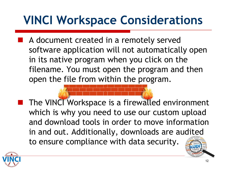A document created in a remotely served software application will not automatically open in its native program when you click on the filename. You must open the program and then open the file from within the program.

 The VINCI Workspace is a firewalled environment which is why you need to use our custom upload and download tools in order to move information in and out. Additionally, downloads are audited to ensure compliance with data security.

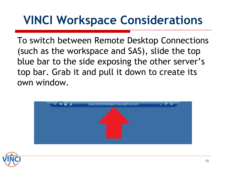top bar. Grab it and pull it down to create its To switch between Remote Desktop Connections (such as the workspace and SAS), slide the top blue bar to the side exposing the other server's



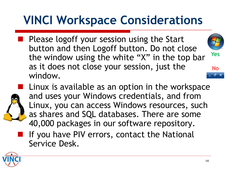Please logoff your session using the Start button and then Logoff button. Do not close the window using the white "X" in the top bar **Yes**  as it does not close your session, just the  $N_0$ window.





Linux is available as an option in the workspace and uses your Windows credentials, and from Linux, you can access Windows resources, such as shares and SQL databases. There are some 40,000 packages in our software repository.

 If you have PIV errors, contact the National Service Desk.

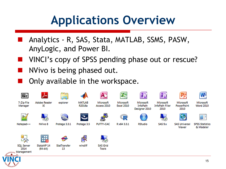#### **Applications Overview**

- Analytics R, SAS, Stata, MATLAB, SSMS, PASW, AnyLogic, and Power BI.
- VINCI's copy of SPSS pending phase out or rescue?<br>NVivo is being phased out.
- 
- Only available in the workspace.

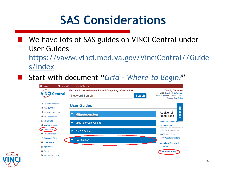We have lots of SAS guides on VINCI Central under User Guides

[https://vaww.vinci.med.va.gov/VinciCentral//Guide](https://vaww.vinci.med.va.gov/VinciCentral/Guides/Index) [s/Index](https://vaww.vinci.med.va.gov/VinciCentral/Guides/Index) 

Start with document "*[Grid -](https://vaww.vinci.med.va.gov/VinciCentral/documents/Grid_Where_to_Begin.docx) [Where to Begin?](https://vaww.vinci.med.va.gov/VinciCentral/documents/Grid_Where_to_Begin.docx)*"



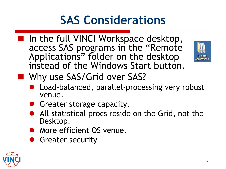In the full VINCI Workspace desktop, access SAS programs in the "Remote Applications" folder on the desktop instead of the Windows Start button.



**Now Why use SAS/Grid over SAS?** 

- Load-balanced, parallel-processing very robust venue.
- **Greater storage capacity.**
- All statistical procs reside on the Grid, not the Desktop.
- **More efficient OS venue.**
- **Greater security**

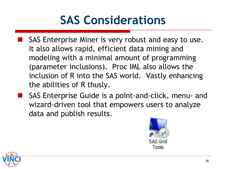- (parameter inclusions). Proc IML also allows the inclusion of R into the SAS world. Vastly enhancing **SAS Enterprise Miner is very robust and easy to use.** It also allows rapid, efficient data mining and modeling with a minimal amount of programming the abilities of R thusly.
- SAS Enterprise Guide is a point-and-click, menu- and wizard-driven tool that empowers users to analyze data and publish results.



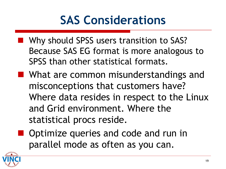- Because SAS EG format is more analogous to **Now Should SPSS users transition to SAS?** SPSS than other statistical formats.
- **No. 19 Million** Misunderstandings and misconceptions that customers have? Where data resides in respect to the Linux and Grid environment. Where the statistical procs reside.
- **Optimize queries and code and run in** parallel mode as often as you can.

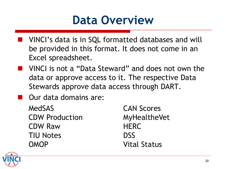#### **Data Overview**

- **NUINCI's data is in SQL formatted databases and will**  be provided in this format. It does not come in an Excel spreadsheet.
- VINCI is not a "Data Steward" and does not own the data or approve access to it. The respective Data Stewards approve data access through DART.
- **D** Our data domains are:
	- **TIU Notes** MedSAS CAN Scores CDW Production MyHealtheVet CDW Raw HERC TIU Notes DSSOMOP Vital Status20

**DSS Vital Status** 

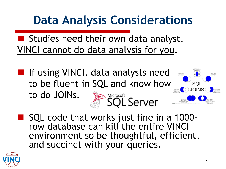#### **Data Analysis Considerations**

**E** Studies need their own data analyst. VINCI cannot do data analysis for you.

**IF** If using VINCI, data analysts need to be fluent in SQL and know how  $\sum_{i=1}^{\text{Microsoft}}$  Server to do JOINs.



SQL code that works just fine in a 1000-<br>row database can kill the entire VINCI environment so be thoughtful, efficient, and succinct with your queries.

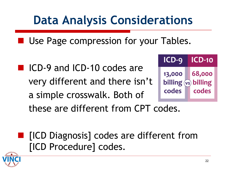#### **Data Analysis Considerations**

■ Use Page compression for your Tables.<br>■ ICD-9 and ICD-10 codes are

■ ICD-9 and ICD-10 codes are very different and there isn't a simple crosswalk. Both of



these are different from CPT codes.

**IF** [ICD Diagnosis] codes are different from [ICD Procedure] codes.

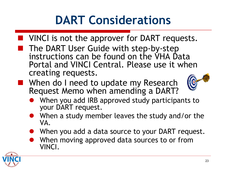## **DART Considerations**

- **No. 3 VINCI** is not the approver for DART requests.
- **The DART User Guide with step-by-step** instructions can be found on the VHA Data Portal and VINCI Central. Please use it when creating requests.
- **Notal Millem Number** When do I need to update my Research Request Memo when amending a DART?
	- $\bullet$ When you add IRB approved study participants to your DART request.
	- When a study member leaves the study and/or the  $\bullet$ VA.
	- When you add a data source to your DART request.  $\bullet$
	- $\bullet$ When moving approved data sources to or from VINCI.

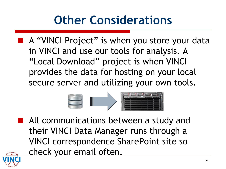### **Other Considerations**

 "Local Download" project is when VINCI A "VINCI Project" is when you store your data in VINCI and use our tools for analysis. A provides the data for hosting on your local secure server and utilizing your own tools.



**All communications between a study and** their VINCI Data Manager runs through a VINCI correspondence SharePoint site so check your email often.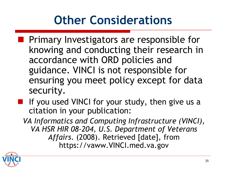### **Other Considerations**

- **Primary Investigators are responsible for** knowing and conducting their research in accordance with ORD policies and guidance. VINCI is not responsible for ensuring you meet policy except for data security.
- **If** If you used VINCI for your study, then give us a citation in your publication:

 *VA Informatics and Computing Infrastructure (VINCI), Affairs*. (2008). Retrieved [date], from *VA HSR HIR 08-204, U.S. Department of Veterans*  https://vaww.VINCI.med.va.gov